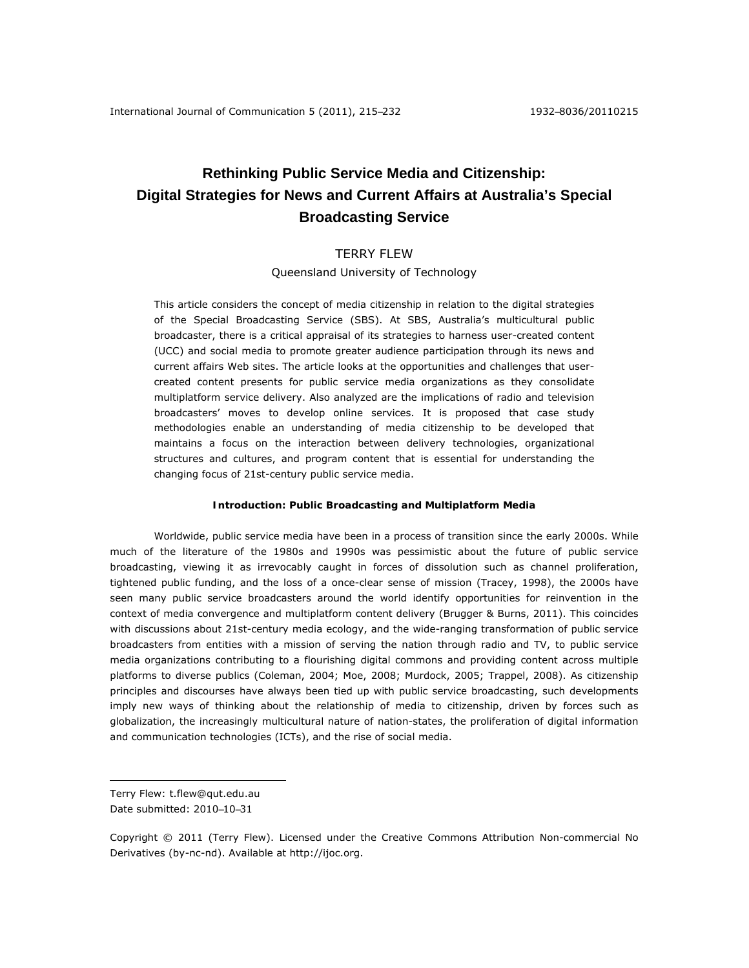# **Rethinking Public Service Media and Citizenship: Digital Strategies for News and Current Affairs at Australia's Special Broadcasting Service**

# TERRY FLEW

Queensland University of Technology

This article considers the concept of media citizenship in relation to the digital strategies of the Special Broadcasting Service (SBS). At SBS, Australia's multicultural public broadcaster, there is a critical appraisal of its strategies to harness user-created content (UCC) and social media to promote greater audience participation through its news and current affairs Web sites. The article looks at the opportunities and challenges that usercreated content presents for public service media organizations as they consolidate multiplatform service delivery. Also analyzed are the implications of radio and television broadcasters' moves to develop online services. It is proposed that case study methodologies enable an understanding of media citizenship to be developed that maintains a focus on the interaction between delivery technologies, organizational structures and cultures, and program content that is essential for understanding the changing focus of 21st-century public service media.

#### **Introduction: Public Broadcasting and Multiplatform Media**

Worldwide, public service media have been in a process of transition since the early 2000s. While much of the literature of the 1980s and 1990s was pessimistic about the future of public service broadcasting, viewing it as irrevocably caught in forces of dissolution such as channel proliferation, tightened public funding, and the loss of a once-clear sense of mission (Tracey, 1998), the 2000s have seen many public service broadcasters around the world identify opportunities for reinvention in the context of media convergence and multiplatform content delivery (Brugger & Burns, 2011). This coincides with discussions about 21st-century media ecology, and the wide-ranging transformation of public service broadcasters from entities with a mission of serving the nation through radio and TV, to public service media organizations contributing to a flourishing digital commons and providing content across multiple platforms to diverse publics (Coleman, 2004; Moe, 2008; Murdock, 2005; Trappel, 2008). As citizenship principles and discourses have always been tied up with public service broadcasting, such developments imply new ways of thinking about the relationship of media to citizenship, driven by forces such as globalization, the increasingly multicultural nature of nation-states, the proliferation of digital information and communication technologies (ICTs), and the rise of social media.

 $\overline{a}$ 

Terry Flew: t.flew@qut.edu.au Date submitted: 2010–10–31

Copyright © 2011 (Terry Flew). Licensed under the Creative Commons Attribution Non-commercial No Derivatives (by-nc-nd). Available at http://ijoc.org.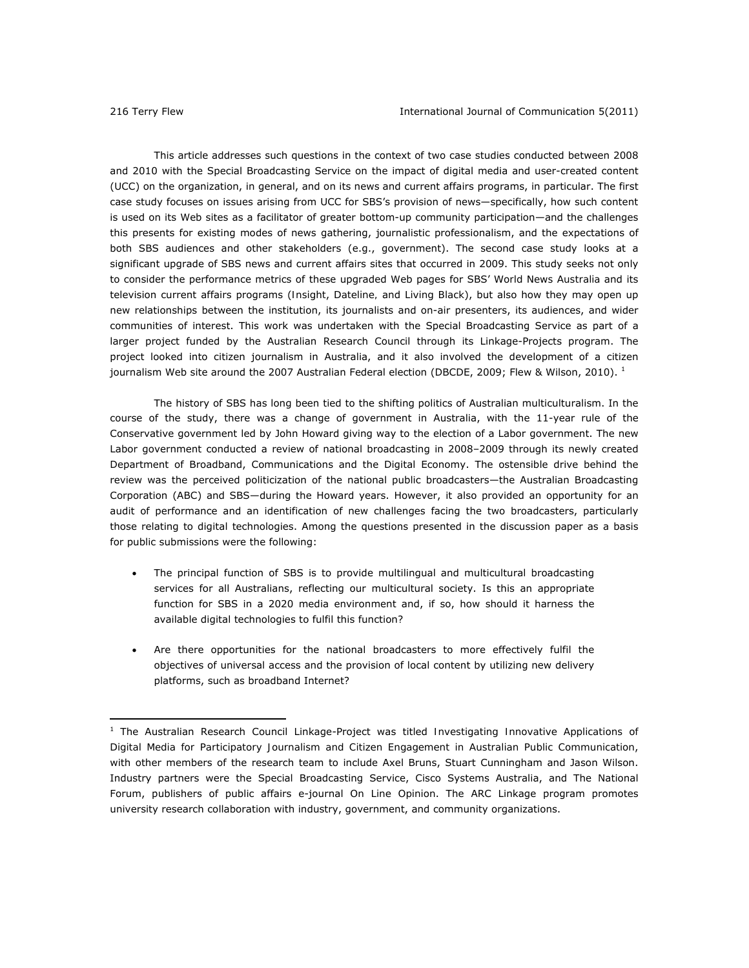This article addresses such questions in the context of two case studies conducted between 2008 and 2010 with the Special Broadcasting Service on the impact of digital media and user-created content (UCC) on the organization, in general, and on its news and current affairs programs, in particular. The first case study focuses on issues arising from UCC for SBS's provision of news—specifically, how such content is used on its Web sites as a facilitator of greater bottom-up community participation—and the challenges this presents for existing modes of news gathering, journalistic professionalism, and the expectations of both SBS audiences and other stakeholders (e.g., government). The second case study looks at a significant upgrade of SBS news and current affairs sites that occurred in 2009. This study seeks not only to consider the performance metrics of these upgraded Web pages for SBS' *World News Australia* and its television current affairs programs (*Insight*, *Dateline,* and *Living Black*), but also how they may open up new relationships between the institution, its journalists and on-air presenters, its audiences, and wider communities of interest. This work was undertaken with the Special Broadcasting Service as part of a larger project funded by the Australian Research Council through its Linkage-Projects program. The project looked into citizen journalism in Australia, and it also involved the development of a citizen journalism Web site around the 2007 Australian Federal election (DBCDE, 2009; Flew & Wilson, 2010).  $^1$ 

The history of SBS has long been tied to the shifting politics of Australian multiculturalism. In the course of the study, there was a change of government in Australia, with the 11-year rule of the Conservative government led by John Howard giving way to the election of a Labor government. The new Labor government conducted a review of national broadcasting in 2008–2009 through its newly created Department of Broadband, Communications and the Digital Economy. The ostensible drive behind the review was the perceived politicization of the national public broadcasters—the Australian Broadcasting Corporation (ABC) and SBS—during the Howard years. However, it also provided an opportunity for an audit of performance and an identification of new challenges facing the two broadcasters, particularly those relating to digital technologies. Among the questions presented in the discussion paper as a basis for public submissions were the following:

- The principal function of SBS is to provide multilingual and multicultural broadcasting services for all Australians, reflecting our multicultural society. Is this an appropriate function for SBS in a 2020 media environment and, if so, how should it harness the available digital technologies to fulfil this function?
- Are there opportunities for the national broadcasters to more effectively fulfil the objectives of universal access and the provision of local content by utilizing new delivery platforms, such as broadband Internet?

<sup>1</sup> The Australian Research Council Linkage-Project was titled *Investigating Innovative Applications of Digital Media for Participatory Journalism and Citizen Engagement in Australian Public Communication*, with other members of the research team to include Axel Bruns, Stuart Cunningham and Jason Wilson. Industry partners were the Special Broadcasting Service, Cisco Systems Australia, and The National Forum, publishers of public affairs e-journal *On Line Opinion*. The ARC Linkage program promotes university research collaboration with industry, government, and community organizations.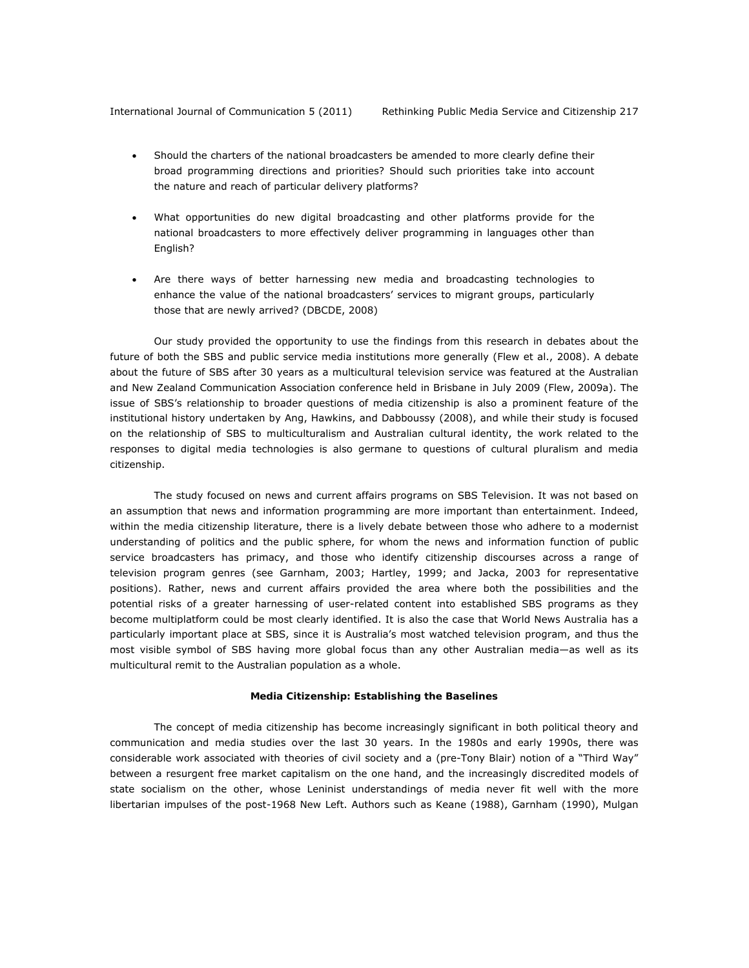- Should the charters of the national broadcasters be amended to more clearly define their broad programming directions and priorities? Should such priorities take into account the nature and reach of particular delivery platforms?
- What opportunities do new digital broadcasting and other platforms provide for the national broadcasters to more effectively deliver programming in languages other than English?
- Are there ways of better harnessing new media and broadcasting technologies to enhance the value of the national broadcasters' services to migrant groups, particularly those that are newly arrived? (DBCDE, 2008)

Our study provided the opportunity to use the findings from this research in debates about the future of both the SBS and public service media institutions more generally (Flew et al., 2008). A debate about the future of SBS after 30 years as a multicultural television service was featured at the Australian and New Zealand Communication Association conference held in Brisbane in July 2009 (Flew, 2009a). The issue of SBS's relationship to broader questions of media citizenship is also a prominent feature of the institutional history undertaken by Ang, Hawkins, and Dabboussy (2008), and while their study is focused on the relationship of SBS to multiculturalism and Australian cultural identity, the work related to the responses to digital media technologies is also germane to questions of cultural pluralism and media citizenship.

The study focused on news and current affairs programs on SBS Television. It was not based on an assumption that news and information programming are more important than entertainment. Indeed, within the media citizenship literature, there is a lively debate between those who adhere to a modernist understanding of politics and the public sphere, for whom the news and information function of public service broadcasters has primacy, and those who identify citizenship discourses across a range of television program genres (see Garnham, 2003; Hartley, 1999; and Jacka, 2003 for representative positions). Rather, news and current affairs provided the area where both the possibilities and the potential risks of a greater harnessing of user-related content into established SBS programs as they become multiplatform could be most clearly identified. It is also the case that *World News Australia* has a particularly important place at SBS, since it is Australia's most watched television program, and thus the most visible symbol of SBS having more global focus than any other Australian media—as well as its multicultural remit to the Australian population as a whole.

### **Media Citizenship: Establishing the Baselines**

The concept of media citizenship has become increasingly significant in both political theory and communication and media studies over the last 30 years. In the 1980s and early 1990s, there was considerable work associated with theories of civil society and a (pre-Tony Blair) notion of a "Third Way" between a resurgent free market capitalism on the one hand, and the increasingly discredited models of state socialism on the other, whose Leninist understandings of media never fit well with the more libertarian impulses of the post-1968 New Left. Authors such as Keane (1988), Garnham (1990), Mulgan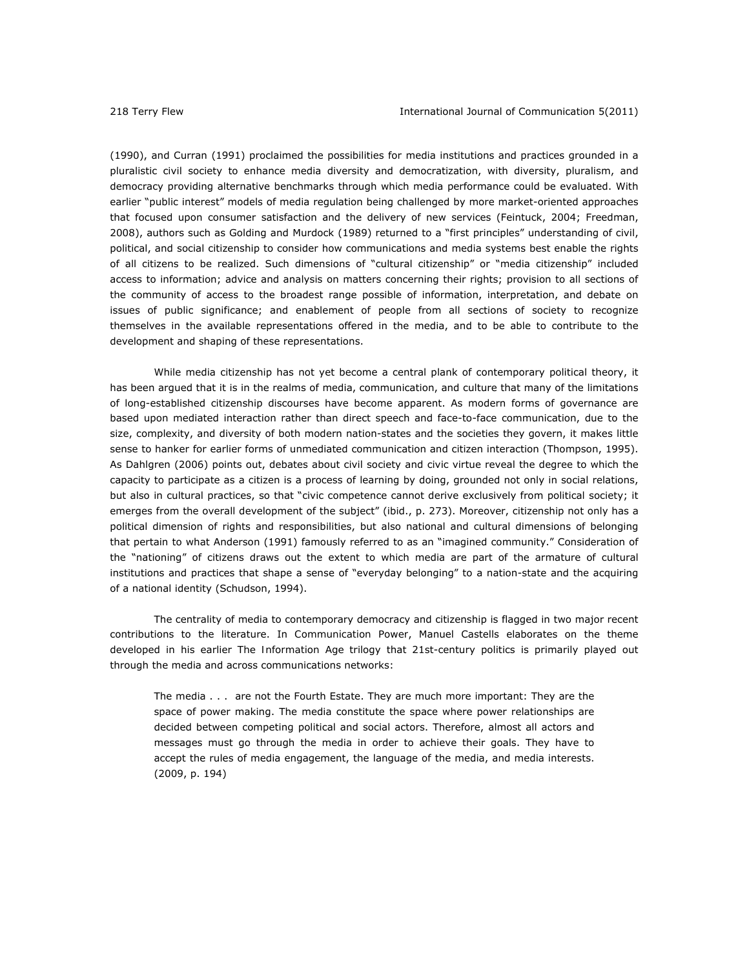(1990), and Curran (1991) proclaimed the possibilities for media institutions and practices grounded in a pluralistic civil society to enhance media diversity and democratization, with diversity, pluralism, and democracy providing alternative benchmarks through which media performance could be evaluated. With earlier "public interest" models of media regulation being challenged by more market-oriented approaches that focused upon consumer satisfaction and the delivery of new services (Feintuck, 2004; Freedman, 2008), authors such as Golding and Murdock (1989) returned to a "first principles" understanding of civil, political, and social citizenship to consider how communications and media systems best enable the rights of all citizens to be realized. Such dimensions of "cultural citizenship" or "media citizenship" included access to information; advice and analysis on matters concerning their rights; provision to all sections of the community of access to the broadest range possible of information, interpretation, and debate on issues of public significance; and enablement of people from all sections of society to recognize themselves in the available representations offered in the media, and to be able to contribute to the development and shaping of these representations.

While media citizenship has not yet become a central plank of contemporary political theory, it has been argued that it is in the realms of media, communication, and culture that many of the limitations of long-established citizenship discourses have become apparent. As modern forms of governance are based upon mediated interaction rather than direct speech and face-to-face communication, due to the size, complexity, and diversity of both modern nation-states and the societies they govern, it makes little sense to hanker for earlier forms of unmediated communication and citizen interaction (Thompson, 1995). As Dahlgren (2006) points out, debates about civil society and civic virtue reveal the degree to which the capacity to participate as a citizen is a process of learning by doing, grounded not only in social relations, but also in cultural practices, so that "civic competence cannot derive exclusively from political society; it emerges from the overall development of the subject" (ibid., p. 273). Moreover, citizenship not only has a political dimension of rights and responsibilities, but also national and cultural dimensions of belonging that pertain to what Anderson (1991) famously referred to as an "imagined community." Consideration of the "nationing" of citizens draws out the extent to which media are part of the armature of cultural institutions and practices that shape a sense of "everyday belonging" to a nation-state and the acquiring of a national identity (Schudson, 1994).

The centrality of media to contemporary democracy and citizenship is flagged in two major recent contributions to the literature. In *Communication Power*, Manuel Castells elaborates on the theme developed in his earlier *The Information Age* trilogy that 21st-century politics is primarily played out through the media and across communications networks:

The media . . . are not the Fourth Estate. They are much more important: They are the space of power making. The media constitute the space where power relationships are decided between competing political and social actors. Therefore, almost all actors and messages must go through the media in order to achieve their goals. They have to accept the rules of media engagement, the language of the media, and media interests. (2009, p. 194)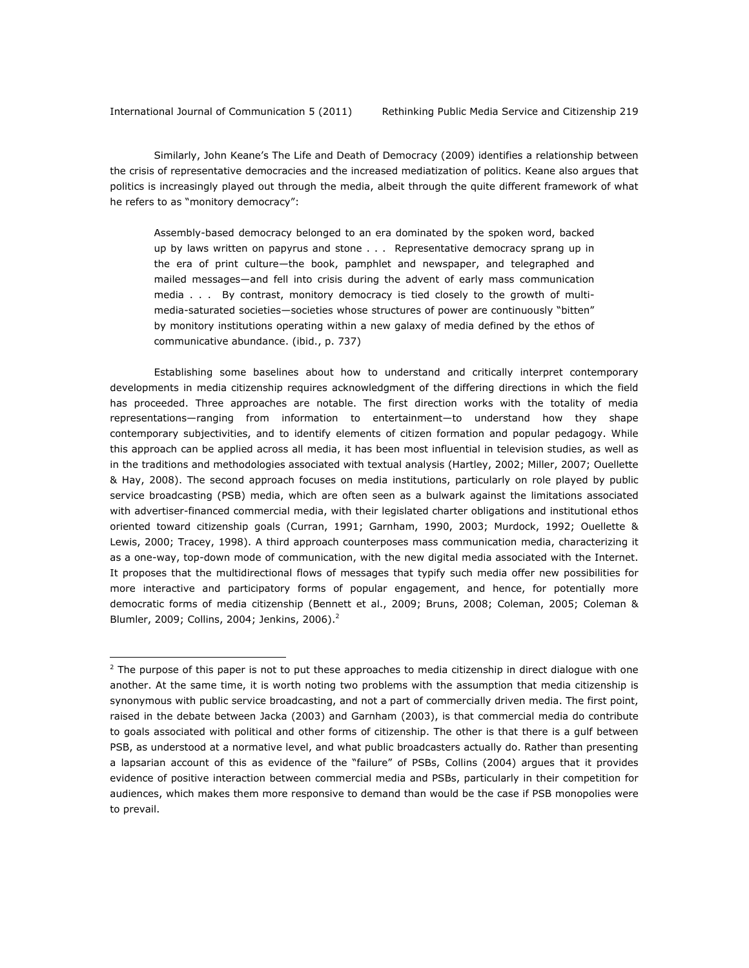Similarly, John Keane's *The Life and Death of Democracy* (2009) identifies a relationship between the crisis of representative democracies and the increased mediatization of politics. Keane also argues that politics is increasingly played out through the media, albeit through the quite different framework of what he refers to as "monitory democracy":

Assembly-based democracy belonged to an era dominated by the spoken word, backed up by laws written on papyrus and stone . . . Representative democracy sprang up in the era of print culture—the book, pamphlet and newspaper, and telegraphed and mailed messages—and fell into crisis during the advent of early mass communication media . . . By contrast, monitory democracy is tied closely to the growth of multimedia-saturated societies—societies whose structures of power are continuously "bitten" by monitory institutions operating within a new galaxy of media defined by the ethos of communicative abundance. (ibid., p. 737)

Establishing some baselines about how to understand and critically interpret contemporary developments in media citizenship requires acknowledgment of the differing directions in which the field has proceeded. Three approaches are notable. The first direction works with the totality of media representations—ranging from information to entertainment—to understand how they shape contemporary subjectivities, and to identify elements of citizen formation and popular pedagogy. While this approach can be applied across all media, it has been most influential in television studies, as well as in the traditions and methodologies associated with textual analysis (Hartley, 2002; Miller, 2007; Ouellette & Hay, 2008). The second approach focuses on media institutions, particularly on role played by public service broadcasting (PSB) media, which are often seen as a bulwark against the limitations associated with advertiser-financed commercial media, with their legislated charter obligations and institutional ethos oriented toward citizenship goals (Curran, 1991; Garnham, 1990, 2003; Murdock, 1992; Ouellette & Lewis, 2000; Tracey, 1998). A third approach counterposes mass communication media, characterizing it as a one-way, top-down mode of communication, with the new digital media associated with the Internet. It proposes that the multidirectional flows of messages that typify such media offer new possibilities for more interactive and participatory forms of popular engagement, and hence, for potentially more democratic forms of media citizenship (Bennett et al., 2009; Bruns, 2008; Coleman, 2005; Coleman & Blumler, 2009; Collins, 2004; Jenkins, 2006). $2$ 

 $2$  The purpose of this paper is not to put these approaches to media citizenship in direct dialogue with one another. At the same time, it is worth noting two problems with the assumption that media citizenship is synonymous with public service broadcasting, and not a part of commercially driven media. The first point, raised in the debate between Jacka (2003) and Garnham (2003), is that commercial media do contribute to goals associated with political and other forms of citizenship. The other is that there is a gulf between PSB, as understood at a normative level, and what public broadcasters actually do. Rather than presenting a lapsarian account of this as evidence of the "failure" of PSBs, Collins (2004) argues that it provides evidence of positive interaction between commercial media and PSBs, particularly in their competition for audiences, which makes them more responsive to demand than would be the case if PSB monopolies were to prevail.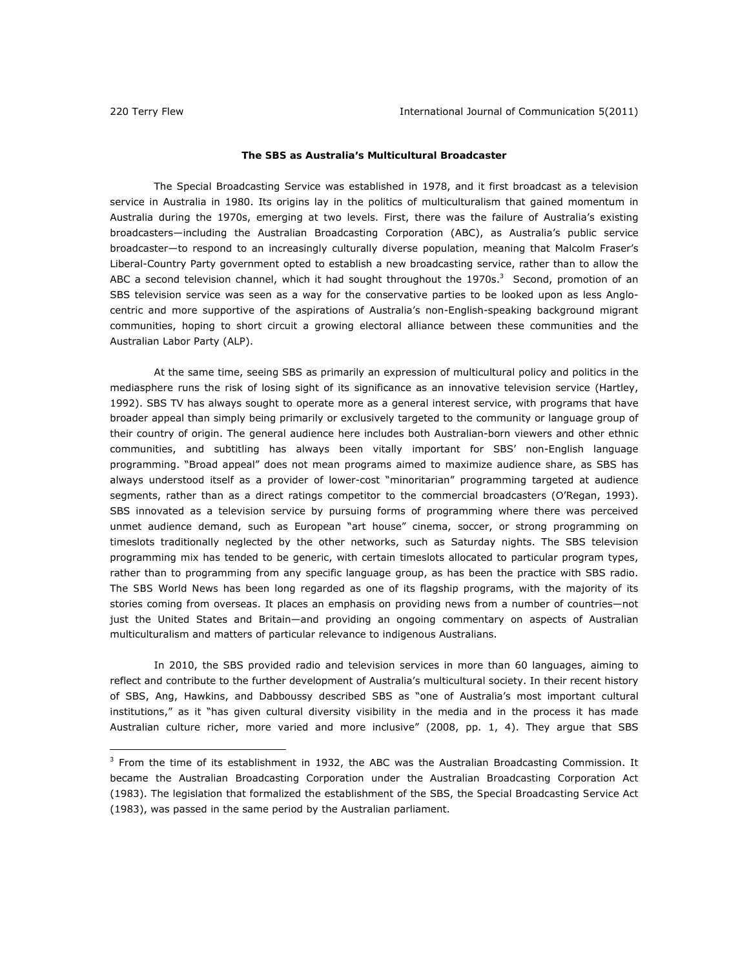## **The SBS as Australia's Multicultural Broadcaster**

The Special Broadcasting Service was established in 1978, and it first broadcast as a television service in Australia in 1980. Its origins lay in the politics of multiculturalism that gained momentum in Australia during the 1970s, emerging at two levels. First, there was the failure of Australia's existing broadcasters—including the Australian Broadcasting Corporation (ABC), as Australia's public service broadcaster—to respond to an increasingly culturally diverse population, meaning that Malcolm Fraser's Liberal-Country Party government opted to establish a new broadcasting service, rather than to allow the ABC a second television channel, which it had sought throughout the 1970s.<sup>3</sup> Second, promotion of an SBS television service was seen as a way for the conservative parties to be looked upon as less Anglocentric and more supportive of the aspirations of Australia's non-English-speaking background migrant communities, hoping to short circuit a growing electoral alliance between these communities and the Australian Labor Party (ALP).

At the same time, seeing SBS as primarily an expression of multicultural policy and politics in the mediasphere runs the risk of losing sight of its significance as an innovative television service (Hartley, 1992). SBS TV has always sought to operate more as a general interest service, with programs that have broader appeal than simply being primarily or exclusively targeted to the community or language group of their country of origin. The general audience here includes both Australian-born viewers and other ethnic communities, and subtitling has always been vitally important for SBS' non-English language programming. "Broad appeal" does not mean programs aimed to maximize audience share, as SBS has always understood itself as a provider of lower-cost "minoritarian" programming targeted at audience segments, rather than as a direct ratings competitor to the commercial broadcasters (O'Regan, 1993). SBS innovated as a television service by pursuing forms of programming where there was perceived unmet audience demand, such as European "art house" cinema, soccer, or strong programming on timeslots traditionally neglected by the other networks, such as Saturday nights. The SBS television programming mix has tended to be generic, with certain timeslots allocated to particular program types, rather than to programming from any specific language group, as has been the practice with SBS radio. The *SBS World News* has been long regarded as one of its flagship programs, with the majority of its stories coming from overseas. It places an emphasis on providing news from a number of countries—not just the United States and Britain—and providing an ongoing commentary on aspects of Australian multiculturalism and matters of particular relevance to indigenous Australians.

In 2010, the SBS provided radio and television services in more than 60 languages, aiming to reflect and contribute to the further development of Australia's multicultural society. In their recent history of SBS, Ang, Hawkins, and Dabboussy described SBS as "one of Australia's most important cultural institutions," as it "has given cultural diversity visibility in the media and in the process it has made Australian culture richer, more varied and more inclusive" (2008, pp. 1, 4). They argue that SBS

<sup>&</sup>lt;sup>3</sup> From the time of its establishment in 1932, the ABC was the Australian Broadcasting Commission. It became the Australian Broadcasting Corporation under the *Australian Broadcasting Corporation Act* (1983). The legislation that formalized the establishment of the SBS, the *Special Broadcasting Service Act* (1983), was passed in the same period by the Australian parliament.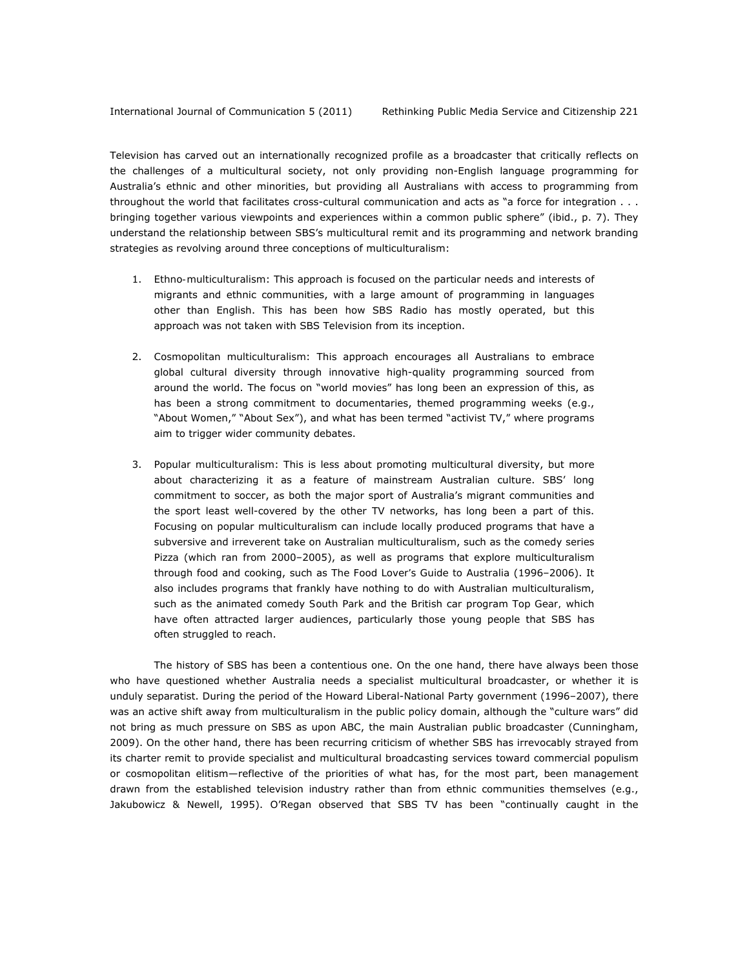Television has carved out an internationally recognized profile as a broadcaster that critically reflects on the challenges of a multicultural society, not only providing non-English language programming for Australia's ethnic and other minorities, but providing all Australians with access to programming from throughout the world that facilitates cross-cultural communication and acts as "a force for integration . . . bringing together various viewpoints and experiences within a common public sphere" (ibid., p. 7). They understand the relationship between SBS's multicultural remit and its programming and network branding strategies as revolving around three conceptions of multiculturalism:

- 1. *Ethno-multiculturalism*: This approach is focused on the particular needs and interests of migrants and ethnic communities, with a large amount of programming in languages other than English. This has been how SBS Radio has mostly operated, but this approach was not taken with SBS Television from its inception.
- 2. *Cosmopolitan multiculturalism*: This approach encourages all Australians to embrace global cultural diversity through innovative high-quality programming sourced from around the world. The focus on "world movies" has long been an expression of this, as has been a strong commitment to documentaries, themed programming weeks (e.g., "About Women," "About Sex"), and what has been termed "activist TV," where programs aim to trigger wider community debates.
- 3. *Popular multiculturalism*: This is less about promoting multicultural diversity, but more about characterizing it as a feature of mainstream Australian culture. SBS' long commitment to soccer, as both the major sport of Australia's migrant communities and the sport least well-covered by the other TV networks, has long been a part of this. Focusing on popular multiculturalism can include locally produced programs that have a subversive and irreverent take on Australian multiculturalism, such as the comedy series *Pizza* (which ran from 2000–2005), as well as programs that explore multiculturalism through food and cooking, such as *The Food Lover's Guide to Australia* (1996–2006). It also includes programs that frankly have nothing to do with Australian multiculturalism, such as the animated comedy *South Park* and the British car program *Top Gear,* which have often attracted larger audiences, particularly those young people that SBS has often struggled to reach.

The history of SBS has been a contentious one. On the one hand, there have always been those who have questioned whether Australia needs a specialist multicultural broadcaster, or whether it is unduly separatist. During the period of the Howard Liberal-National Party government (1996–2007), there was an active shift away from multiculturalism in the public policy domain, although the "culture wars" did not bring as much pressure on SBS as upon ABC, the main Australian public broadcaster (Cunningham, 2009). On the other hand, there has been recurring criticism of whether SBS has irrevocably strayed from its charter remit to provide specialist and multicultural broadcasting services toward commercial populism or cosmopolitan elitism—reflective of the priorities of what has, for the most part, been management drawn from the established television industry rather than from ethnic communities themselves (e.g., Jakubowicz & Newell, 1995). O'Regan observed that SBS TV has been "continually caught in the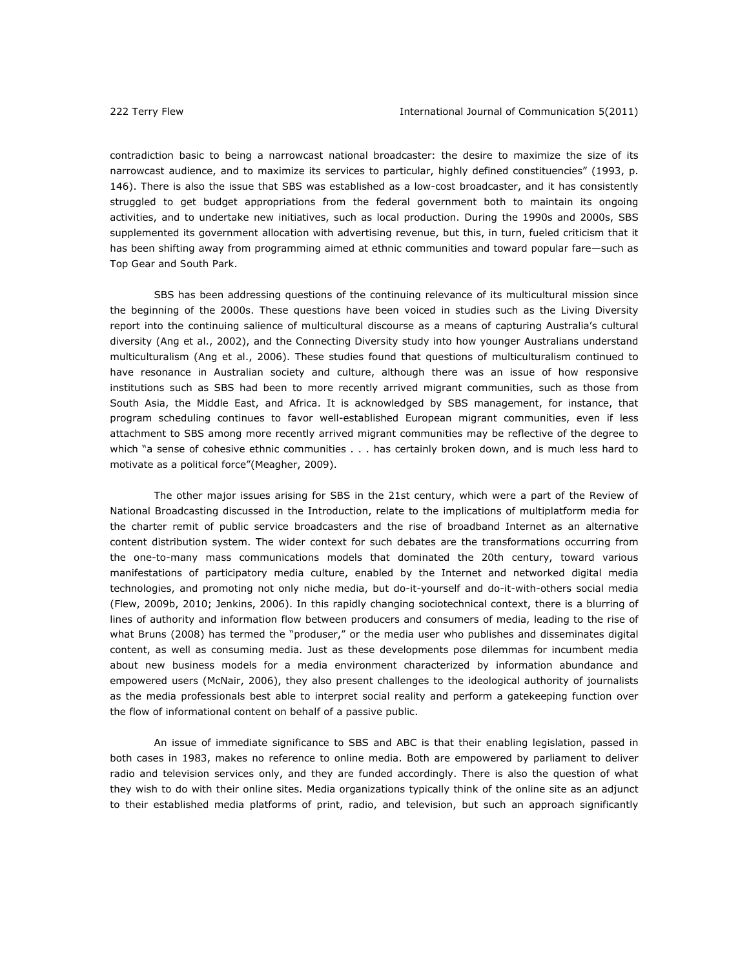contradiction basic to being a narrowcast national broadcaster: the desire to maximize the size of its narrowcast audience, and to maximize its services to particular, highly defined constituencies" (1993, p. 146). There is also the issue that SBS was established as a low-cost broadcaster, and it has consistently struggled to get budget appropriations from the federal government both to maintain its ongoing activities, and to undertake new initiatives, such as local production. During the 1990s and 2000s, SBS supplemented its government allocation with advertising revenue, but this, in turn, fueled criticism that it has been shifting away from programming aimed at ethnic communities and toward popular fare—such as *Top Gear* and *South Park*.

SBS has been addressing questions of the continuing relevance of its multicultural mission since the beginning of the 2000s. These questions have been voiced in studies such as the *Living Diversity*  report into the continuing salience of multicultural discourse as a means of capturing Australia's cultural diversity (Ang et al., 2002), and the *Connecting Diversity* study into how younger Australians understand multiculturalism (Ang et al., 2006). These studies found that questions of multiculturalism continued to have resonance in Australian society and culture, although there was an issue of how responsive institutions such as SBS had been to more recently arrived migrant communities, such as those from South Asia, the Middle East, and Africa. It is acknowledged by SBS management, for instance, that program scheduling continues to favor well-established European migrant communities, even if less attachment to SBS among more recently arrived migrant communities may be reflective of the degree to which "a sense of cohesive ethnic communities . . . has certainly broken down, and is much less hard to motivate as a political force"(Meagher, 2009).

The other major issues arising for SBS in the 21st century, which were a part of the *Review of National Broadcasting* discussed in the Introduction, relate to the implications of multiplatform media for the charter remit of public service broadcasters and the rise of broadband Internet as an alternative content distribution system. The wider context for such debates are the transformations occurring from the one-to-many mass communications models that dominated the 20th century, toward various manifestations of participatory media culture, enabled by the Internet and networked digital media technologies, and promoting not only niche media, but do-it-yourself and do-it-with-others social media (Flew, 2009b, 2010; Jenkins, 2006). In this rapidly changing sociotechnical context, there is a blurring of lines of authority and information flow between producers and consumers of media, leading to the rise of what Bruns (2008) has termed the "produser," or the media user who publishes and disseminates digital content, as well as consuming media. Just as these developments pose dilemmas for incumbent media about new business models for a media environment characterized by information abundance and empowered users (McNair, 2006), they also present challenges to the ideological authority of journalists as the media professionals best able to interpret social reality and perform a gatekeeping function over the flow of informational content on behalf of a passive public.

An issue of immediate significance to SBS and ABC is that their enabling legislation, passed in both cases in 1983, makes no reference to online media. Both are empowered by parliament to deliver radio and television services only, and they are funded accordingly. There is also the question of what they wish to do with their online sites. Media organizations typically think of the online site as an adjunct to their established media platforms of print, radio, and television, but such an approach significantly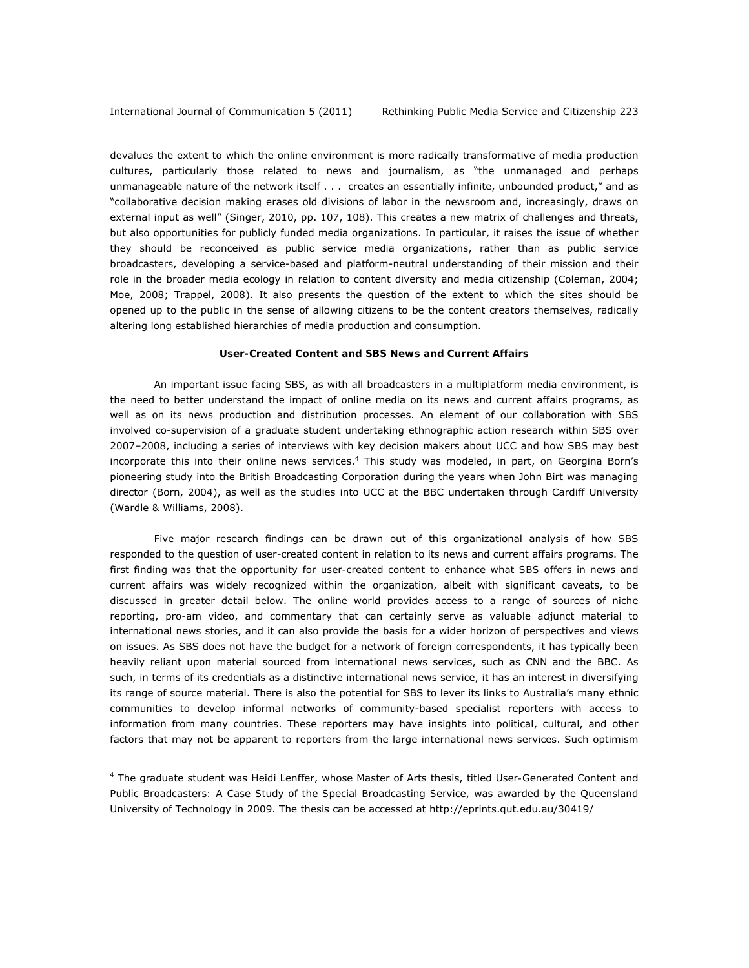devalues the extent to which the online environment is more radically transformative of media production cultures, particularly those related to news and journalism, as "the unmanaged and perhaps unmanageable nature of the network itself . . . creates an essentially infinite, unbounded product," and as "collaborative decision making erases old divisions of labor in the newsroom and, increasingly, draws on external input as well" (Singer, 2010, pp. 107, 108). This creates a new matrix of challenges and threats, but also opportunities for publicly funded media organizations. In particular, it raises the issue of whether they should be reconceived as public service media organizations, rather than as public service broadcasters, developing a service-based and platform-neutral understanding of their mission and their role in the broader media ecology in relation to content diversity and media citizenship (Coleman, 2004; Moe, 2008; Trappel, 2008). It also presents the question of the extent to which the sites should be opened up to the public in the sense of allowing citizens to be the content creators themselves, radically altering long established hierarchies of media production and consumption.

#### **User-Created Content and SBS News and Current Affairs**

An important issue facing SBS, as with all broadcasters in a multiplatform media environment, is the need to better understand the impact of online media on its news and current affairs programs, as well as on its news production and distribution processes. An element of our collaboration with SBS involved co-supervision of a graduate student undertaking ethnographic action research within SBS over 2007–2008, including a series of interviews with key decision makers about UCC and how SBS may best incorporate this into their online news services.<sup>4</sup> This study was modeled, in part, on Georgina Born's pioneering study into the British Broadcasting Corporation during the years when John Birt was managing director (Born, 2004), as well as the studies into UCC at the BBC undertaken through Cardiff University (Wardle & Williams, 2008).

Five major research findings can be drawn out of this organizational analysis of how SBS responded to the question of user-created content in relation to its news and current affairs programs. The first finding was that *the opportunity for user-created content to enhance what SBS offers in news and current affairs was widely recognized within the organization*, albeit with significant caveats, to be discussed in greater detail below. The online world provides access to a range of sources of niche reporting, pro-am video, and commentary that can certainly serve as valuable adjunct material to international news stories, and it can also provide the basis for a wider horizon of perspectives and views on issues. As SBS does not have the budget for a network of foreign correspondents, it has typically been heavily reliant upon material sourced from international news services, such as CNN and the BBC. As such, in terms of its credentials as a distinctive international news service, it has an interest in diversifying its range of source material. There is also the potential for SBS to lever its links to Australia's many ethnic communities to develop informal networks of community-based specialist reporters with access to information from many countries. These reporters may have insights into political, cultural, and other factors that may not be apparent to reporters from the large international news services. Such optimism

<sup>4</sup> The graduate student was Heidi Lenffer, whose Master of Arts thesis, titled *User-Generated Content and Public Broadcasters: A Case Study of the Special Broadcasting Service*, was awarded by the Queensland University of Technology in 2009. The thesis can be accessed at http://eprints.qut.edu.au/30419/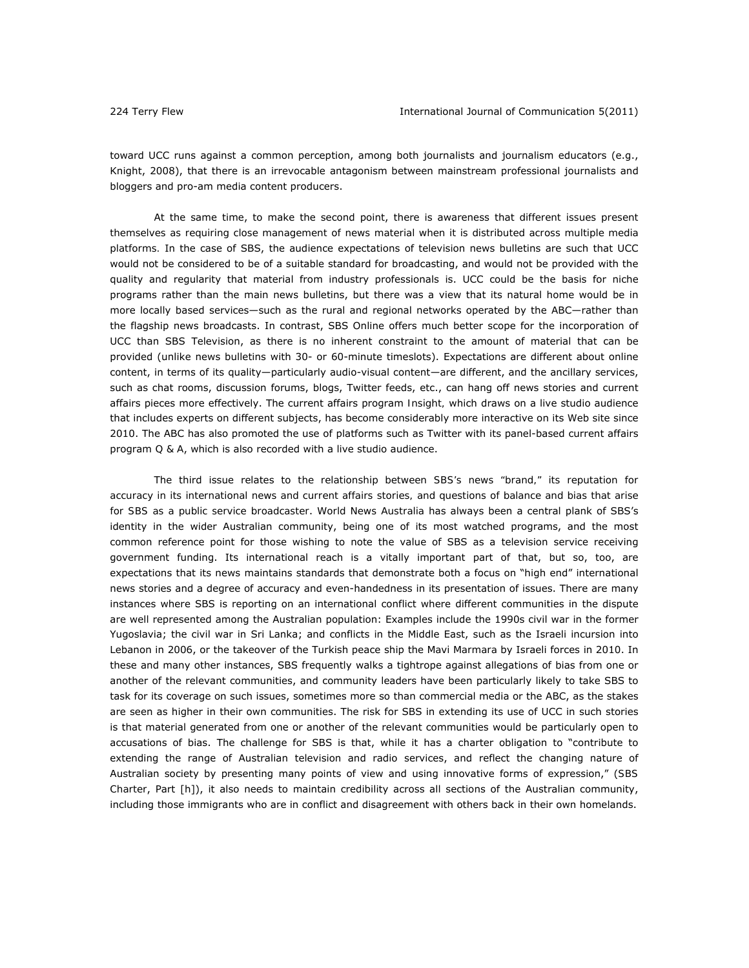toward UCC runs against a common perception, among both journalists and journalism educators (e.g., Knight, 2008), that there is an irrevocable antagonism between mainstream professional journalists and bloggers and pro-am media content producers.

At the same time, to make the second point, there is awareness that *different issues present themselves as requiring close management of news material when it is distributed across multiple media platforms.* In the case of SBS, the audience expectations of television news bulletins are such that UCC would not be considered to be of a suitable standard for broadcasting, and would not be provided with the quality and regularity that material from industry professionals is. UCC could be the basis for niche programs rather than the main news bulletins, but there was a view that its natural home would be in more locally based services—such as the rural and regional networks operated by the ABC—rather than the flagship news broadcasts. In contrast, SBS Online offers much better scope for the incorporation of UCC than SBS Television, as there is no inherent constraint to the amount of material that can be provided (unlike news bulletins with 30- or 60-minute timeslots). Expectations are different about online content, in terms of its quality—particularly audio-visual content—are different, and the ancillary services, such as chat rooms, discussion forums, blogs, Twitter feeds, etc., can hang off news stories and current affairs pieces more effectively. The current affairs program *Insight,* which draws on a live studio audience that includes experts on different subjects, has become considerably more interactive on its Web site since 2010. The ABC has also promoted the use of platforms such as Twitter with its panel-based current affairs program *Q & A*, which is also recorded with a live studio audience.

The third issue relates to *the relationship between SBS's news "brand," its reputation for accuracy in its international news and current affairs stories, and questions of balance and bias that arise for SBS as a public service broadcaster*. *World News Australia* has always been a central plank of SBS's identity in the wider Australian community, being one of its most watched programs, and the most common reference point for those wishing to note the value of SBS as a television service receiving government funding. Its international reach is a vitally important part of that, but so, too, are expectations that its news maintains standards that demonstrate both a focus on "high end" international news stories and a degree of accuracy and even-handedness in its presentation of issues. There are many instances where SBS is reporting on an international conflict where different communities in the dispute are well represented among the Australian population: Examples include the 1990s civil war in the former Yugoslavia; the civil war in Sri Lanka; and conflicts in the Middle East, such as the Israeli incursion into Lebanon in 2006, or the takeover of the Turkish peace ship the *Mavi Marmara* by Israeli forces in 2010. In these and many other instances, SBS frequently walks a tightrope against allegations of bias from one or another of the relevant communities, and community leaders have been particularly likely to take SBS to task for its coverage on such issues, sometimes more so than commercial media or the ABC, as the stakes are seen as higher in their own communities. The risk for SBS in extending its use of UCC in such stories is that material generated from one or another of the relevant communities would be particularly open to accusations of bias. The challenge for SBS is that, while it has a charter obligation to "contribute to extending the range of Australian television and radio services, and reflect the changing nature of Australian society by presenting many points of view and using innovative forms of expression," (*SBS Charter*, Part [h]), it also needs to maintain credibility across all sections of the Australian community, including those immigrants who are in conflict and disagreement with others back in their own homelands.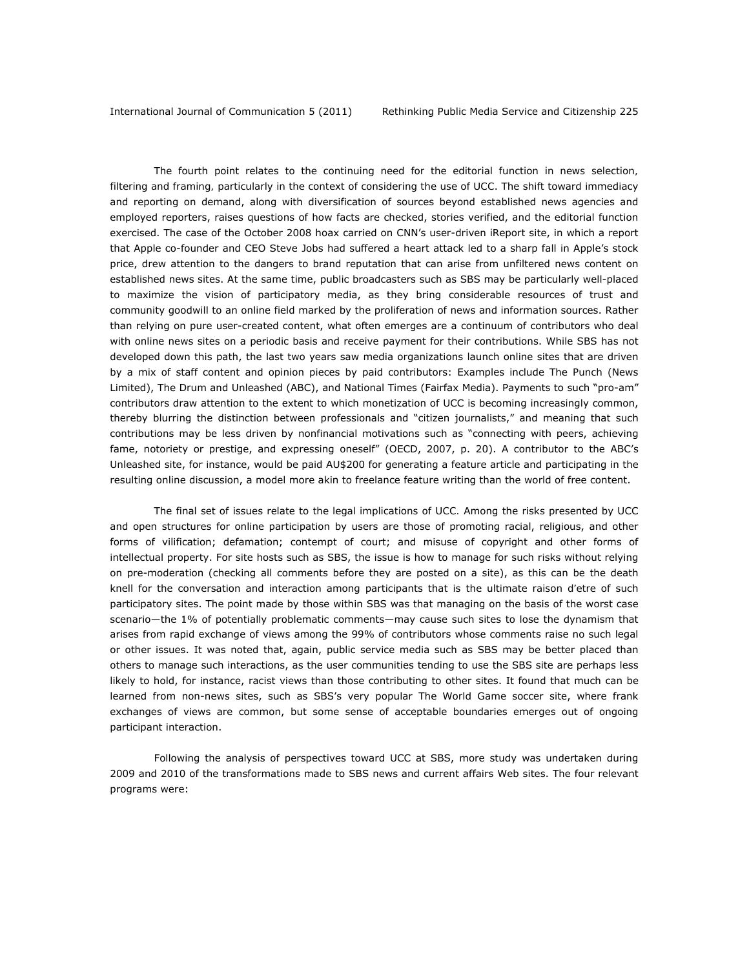The fourth point relates to *the continuing need for the editorial function in news selection, filtering and framing, particularly in the context of considering the use of UCC*. The shift toward immediacy and reporting on demand, along with diversification of sources beyond established news agencies and employed reporters, raises questions of how facts are checked, stories verified, and the editorial function exercised. The case of the October 2008 hoax carried on CNN's user-driven *iReport* site, in which a report that Apple co-founder and CEO Steve Jobs had suffered a heart attack led to a sharp fall in Apple's stock price, drew attention to the dangers to brand reputation that can arise from unfiltered news content on established news sites. At the same time, public broadcasters such as SBS may be particularly well-placed to maximize the vision of participatory media, as they bring considerable resources of trust and community goodwill to an online field marked by the proliferation of news and information sources. Rather than relying on pure user-created content, what often emerges are a continuum of contributors who deal with online news sites on a periodic basis and receive payment for their contributions. While SBS has not developed down this path, the last two years saw media organizations launch online sites that are driven by a mix of staff content and opinion pieces by paid contributors: Examples include *The Punch* (News Limited), *The Drum* and *Unleashed* (ABC), and *National Times* (Fairfax Media). Payments to such "pro-am" contributors draw attention to the extent to which monetization of UCC is becoming increasingly common, thereby blurring the distinction between professionals and "citizen journalists," and meaning that such contributions may be less driven by nonfinancial motivations such as "connecting with peers, achieving fame, notoriety or prestige, and expressing oneself" (OECD, 2007, p. 20). A contributor to the ABC's *Unleashed* site, for instance, would be paid AU\$200 for generating a feature article and participating in the resulting online discussion, a model more akin to freelance feature writing than the world of free content.

The final set of issues relate to *the legal implications of UCC.* Among the risks presented by UCC and open structures for online participation by users are those of promoting racial, religious, and other forms of vilification; defamation; contempt of court; and misuse of copyright and other forms of intellectual property. For site hosts such as SBS, the issue is how to manage for such risks without relying on pre-moderation (checking all comments before they are posted on a site), as this can be the death knell for the conversation and interaction among participants that is the ultimate *raison d'etre* of such participatory sites. The point made by those within SBS was that managing on the basis of the worst case scenario—the 1% of potentially problematic comments—may cause such sites to lose the dynamism that arises from rapid exchange of views among the 99% of contributors whose comments raise no such legal or other issues. It was noted that, again, public service media such as SBS may be better placed than others to manage such interactions, as the user communities tending to use the SBS site are perhaps less likely to hold, for instance, racist views than those contributing to other sites. It found that much can be learned from non-news sites, such as SBS's very popular *The World Game* soccer site, where frank exchanges of views are common, but some sense of acceptable boundaries emerges out of ongoing participant interaction.

Following the analysis of perspectives toward UCC at SBS, more study was undertaken during 2009 and 2010 of the transformations made to SBS news and current affairs Web sites. The four relevant programs were: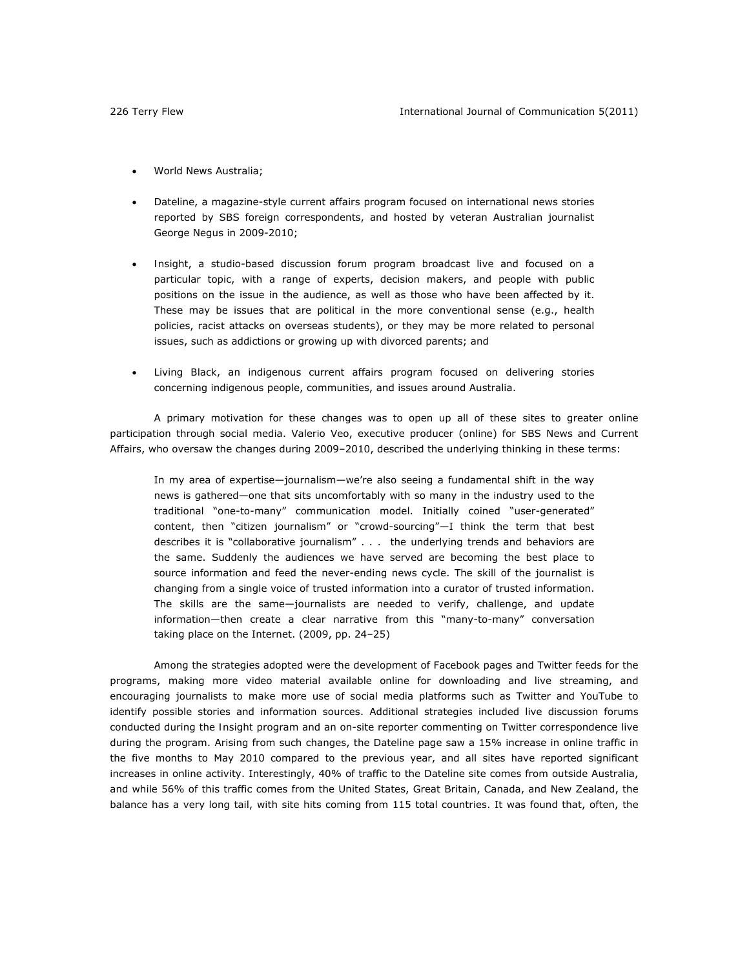- *World News Australia*;
- *Dateline*, a magazine-style current affairs program focused on international news stories reported by SBS foreign correspondents, and hosted by veteran Australian journalist George Negus in 2009-2010;
- *Insight*, a studio-based discussion forum program broadcast live and focused on a particular topic, with a range of experts, decision makers, and people with public positions on the issue in the audience, as well as those who have been affected by it. These may be issues that are political in the more conventional sense (e.g., health policies, racist attacks on overseas students), or they may be more related to personal issues, such as addictions or growing up with divorced parents; and
- *Living Black*, an indigenous current affairs program focused on delivering stories concerning indigenous people, communities, and issues around Australia.

A primary motivation for these changes was to open up all of these sites to greater online participation through social media. Valerio Veo, executive producer (online) for SBS News and Current Affairs, who oversaw the changes during 2009–2010, described the underlying thinking in these terms:

In my area of expertise—journalism—we're also seeing a fundamental shift in the way news is gathered—one that sits uncomfortably with so many in the industry used to the traditional "one-to-many" communication model. Initially coined "user-generated" content, then "citizen journalism" or "crowd-sourcing"—I think the term that best describes it is "collaborative journalism" . . . the underlying trends and behaviors are the same. Suddenly the audiences we have served are becoming the best place to source information and feed the never-ending news cycle. The skill of the journalist is changing from a single voice of trusted information into a curator of trusted information. The skills are the same—journalists are needed to verify, challenge, and update information—then create a clear narrative from this "many-to-many" conversation taking place on the Internet. (2009, pp. 24–25)

Among the strategies adopted were the development of Facebook pages and Twitter feeds for the programs, making more video material available online for downloading and live streaming, and encouraging journalists to make more use of social media platforms such as Twitter and YouTube to identify possible stories and information sources. Additional strategies included live discussion forums conducted during the *Insight* program and an on-site reporter commenting on Twitter correspondence live during the program. Arising from such changes, the *Dateline* page saw a 15% increase in online traffic in the five months to May 2010 compared to the previous year, and all sites have reported significant increases in online activity. Interestingly, 40% of traffic to the *Dateline* site comes from outside Australia, and while 56% of this traffic comes from the United States, Great Britain, Canada, and New Zealand, the balance has a very long tail, with site hits coming from 115 total countries. It was found that, often, the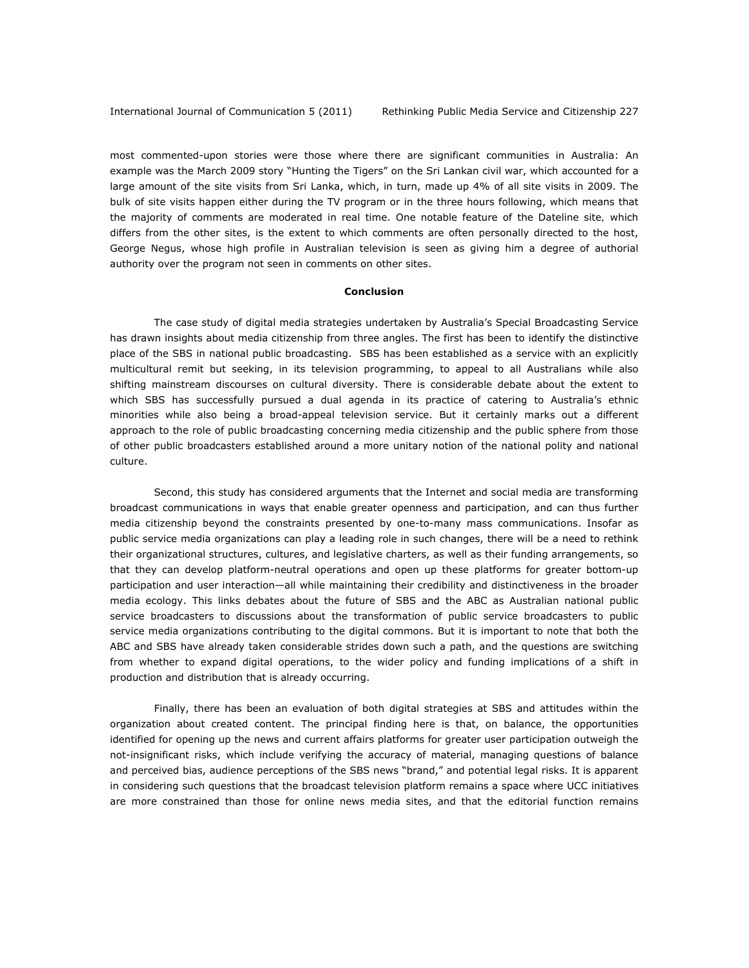most commented-upon stories were those where there are significant communities in Australia: An example was the March 2009 story "Hunting the Tigers" on the Sri Lankan civil war, which accounted for a large amount of the site visits from Sri Lanka, which, in turn, made up 4% of all site visits in 2009. The bulk of site visits happen either during the TV program or in the three hours following, which means that the majority of comments are moderated in real time. One notable feature of the *Dateline* site*,* which differs from the other sites, is the extent to which comments are often personally directed to the host, George Negus, whose high profile in Australian television is seen as giving him a degree of authorial authority over the program not seen in comments on other sites.

#### **Conclusion**

The case study of digital media strategies undertaken by Australia's Special Broadcasting Service has drawn insights about media citizenship from three angles. The first has been to identify the distinctive place of the SBS in national public broadcasting. SBS has been established as a service with an explicitly multicultural remit but seeking, in its television programming, to appeal to all Australians while also shifting mainstream discourses on cultural diversity. There is considerable debate about the extent to which SBS has successfully pursued a dual agenda in its practice of catering to Australia's ethnic minorities while also being a broad-appeal television service. But it certainly marks out a different approach to the role of public broadcasting concerning media citizenship and the public sphere from those of other public broadcasters established around a more unitary notion of the national polity and national culture.

Second, this study has considered arguments that the Internet and social media are transforming broadcast communications in ways that enable greater openness and participation, and can thus further media citizenship beyond the constraints presented by one-to-many mass communications. Insofar as public service media organizations can play a leading role in such changes, there will be a need to rethink their organizational structures, cultures, and legislative charters, as well as their funding arrangements, so that they can develop platform-neutral operations and open up these platforms for greater bottom-up participation and user interaction—all while maintaining their credibility and distinctiveness in the broader media ecology. This links debates about the future of SBS and the ABC as Australian national public service broadcasters to discussions about the transformation of public service broadcasters to public service media organizations contributing to the digital commons. But it is important to note that both the ABC and SBS have already taken considerable strides down such a path, and the questions are switching from whether to expand digital operations, to the wider policy and funding implications of a shift in production and distribution that is already occurring.

Finally, there has been an evaluation of both digital strategies at SBS and attitudes within the organization about created content. The principal finding here is that, on balance, the opportunities identified for opening up the news and current affairs platforms for greater user participation outweigh the not-insignificant risks, which include verifying the accuracy of material, managing questions of balance and perceived bias, audience perceptions of the SBS news "brand," and potential legal risks. It is apparent in considering such questions that the broadcast television platform remains a space where UCC initiatives are more constrained than those for online news media sites, and that the editorial function remains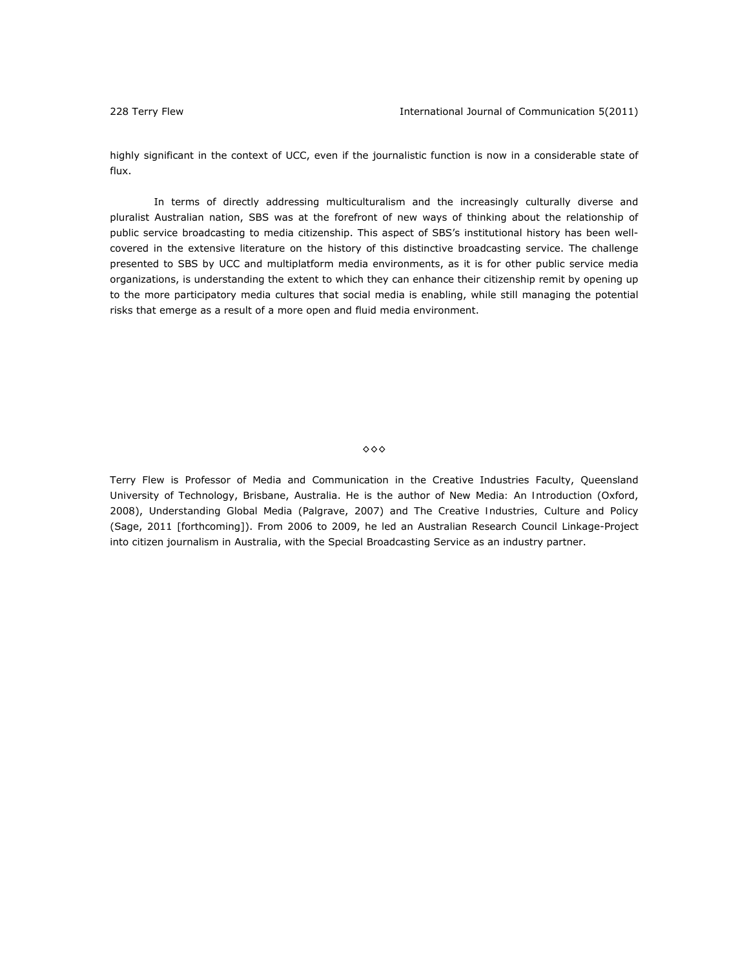highly significant in the context of UCC, even if the journalistic function is now in a considerable state of flux.

In terms of directly addressing multiculturalism and the increasingly culturally diverse and pluralist Australian nation, SBS was at the forefront of new ways of thinking about the relationship of public service broadcasting to media citizenship. This aspect of SBS's institutional history has been wellcovered in the extensive literature on the history of this distinctive broadcasting service. The challenge presented to SBS by UCC and multiplatform media environments, as it is for other public service media organizations, is understanding the extent to which they can enhance their citizenship remit by opening up to the more participatory media cultures that social media is enabling, while still managing the potential risks that emerge as a result of a more open and fluid media environment.

◊◊◊

Terry Flew is Professor of Media and Communication in the Creative Industries Faculty, Queensland University of Technology, Brisbane, Australia. He is the author of *New Media: An Introduction* (Oxford, 2008), *Understanding Global Media* (Palgrave, 2007) and *The Creative Industries, Culture and Policy*  (Sage, 2011 [forthcoming]). From 2006 to 2009, he led an Australian Research Council Linkage-Project into citizen journalism in Australia, with the Special Broadcasting Service as an industry partner.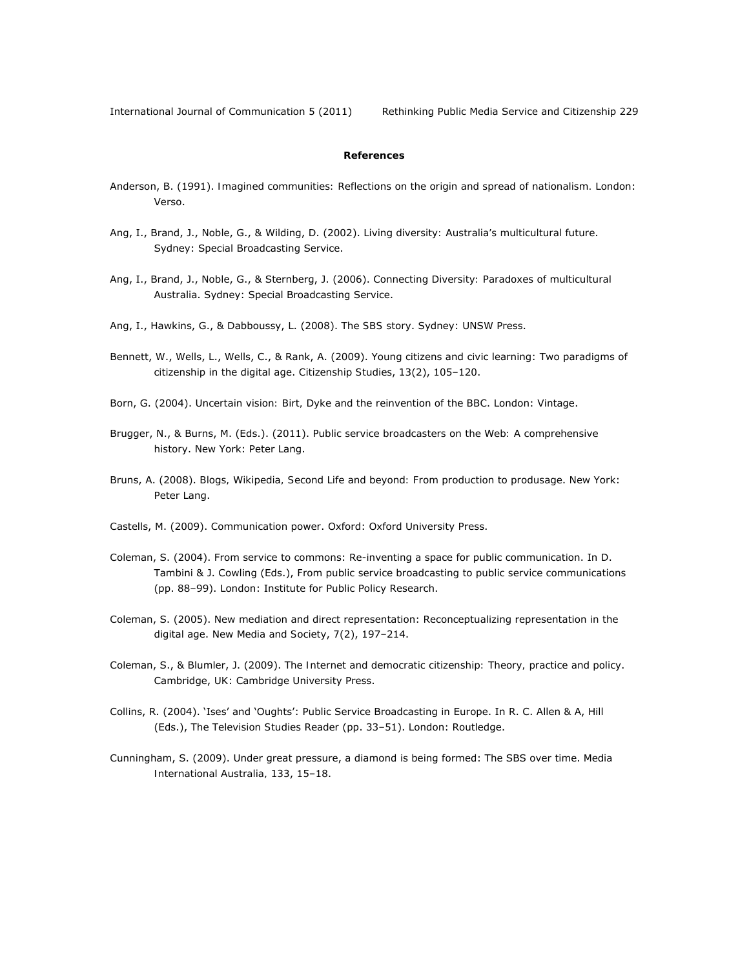International Journal of Communication 5 (2011) Rethinking Public Media Service and Citizenship 229

# **References**

- Anderson, B. (1991). *Imagined communities: Reflections on the origin and spread of nationalism.* London: Verso.
- Ang, I., Brand, J., Noble, G., & Wilding, D. (2002). *Living diversity: Australia's multicultural future*. Sydney: Special Broadcasting Service.
- Ang, I., Brand, J., Noble, G., & Sternberg, J. (2006). *Connecting Diversity: Paradoxes of multicultural Australia*. Sydney: Special Broadcasting Service.
- Ang, I., Hawkins, G., & Dabboussy, L. (2008). *The SBS story*. Sydney: UNSW Press.
- Bennett, W., Wells, L., Wells, C., & Rank, A. (2009). Young citizens and civic learning: Two paradigms of citizenship in the digital age. *Citizenship Studies*, *13*(2), 105–120.
- Born, G. (2004). *Uncertain vision: Birt, Dyke and the reinvention of the BBC*. London: Vintage.
- Brugger, N., & Burns, M. (Eds.). (2011). *Public service broadcasters on the Web: A comprehensive history*. New York: Peter Lang.
- Bruns, A. (2008). *Blogs, Wikipedia, Second Life and beyond: From production to produsage*. New York: Peter Lang.
- Castells, M. (2009). *Communication power*. Oxford: Oxford University Press.
- Coleman, S. (2004). From service to commons: Re-inventing a space for public communication. In D. Tambini & J. Cowling (Eds.), *From public service broadcasting to public service communications*  (pp. 88–99). London: Institute for Public Policy Research.
- Coleman, S. (2005). New mediation and direct representation: Reconceptualizing representation in the digital age. *New Media and Society*, *7*(2), 197–214.
- Coleman, S., & Blumler, J. (2009). *The Internet and democratic citizenship: Theory, practice and policy*. Cambridge, UK: Cambridge University Press.
- Collins, R. (2004). 'Ises' and 'Oughts': Public Service Broadcasting in Europe. In R. C. Allen & A, Hill (Eds.), *The Television Studies Reader* (pp. 33–51). London: Routledge.
- Cunningham, S. (2009). Under great pressure, a diamond is being formed: The SBS over time. *Media International Australia, 133*, 15–18.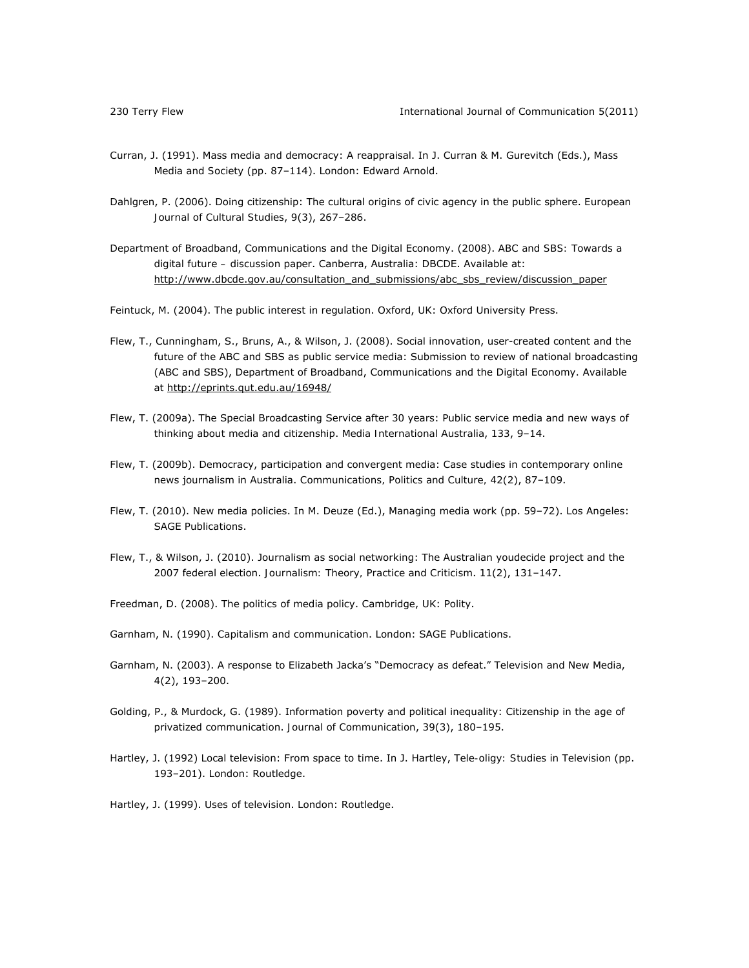- Curran, J. (1991). Mass media and democracy: A reappraisal. In J. Curran & M. Gurevitch (Eds.), *Mass Media and Society* (pp. 87–114). London: Edward Arnold.
- Dahlgren, P. (2006). Doing citizenship: The cultural origins of civic agency in the public sphere. *European Journal of Cultural Studies*, *9*(3), 267–286.
- Department of Broadband, Communications and the Digital Economy. (2008). *ABC and SBS: Towards a digital future – discussion paper*. Canberra, Australia: DBCDE. Available at: http://www.dbcde.gov.au/consultation\_and\_submissions/abc\_sbs\_review/discussion\_paper

Feintuck, M. (2004). *The public interest in regulation*. Oxford, UK: Oxford University Press.

- Flew, T., Cunningham, S., Bruns, A., & Wilson, J. (2008). Social innovation, user-created content and the future of the ABC and SBS as public service media: Submission to review of national broadcasting (ABC and SBS), Department of Broadband, Communications and the Digital Economy. Available at http://eprints.qut.edu.au/16948/
- Flew, T. (2009a). The Special Broadcasting Service after 30 years: Public service media and new ways of thinking about media and citizenship. *Media International Australia*, *133*, 9–14.
- Flew, T. (2009b). Democracy, participation and convergent media: Case studies in contemporary online news journalism in Australia. *Communications, Politics and Culture, 42*(2), 87–109.
- Flew, T. (2010). New media policies. In M. Deuze (Ed.), *Managing media work* (pp. 59–72). Los Angeles: SAGE Publications.
- Flew, T., & Wilson, J. (2010). Journalism as social networking: The Australian youdecide project and the 2007 federal election. *Journalism: Theory, Practice and Criticism*. *11*(2), 131–147.
- Freedman, D. (2008). *The politics of media policy*. Cambridge, UK: Polity.
- Garnham, N. (1990). *Capitalism and communication*. London: SAGE Publications.
- Garnham, N. (2003). A response to Elizabeth Jacka's "Democracy as defeat." *Television and New Media*, *4*(2), 193–200.
- Golding, P., & Murdock, G. (1989). Information poverty and political inequality: Citizenship in the age of privatized communication. *Journal of Communication*, *39*(3), 180–195.
- Hartley, J. (1992) Local television: From space to time. In J. Hartley, *Tele-oligy: Studies in Television* (pp. 193–201). London: Routledge.
- Hartley, J. (1999). *Uses of television*. London: Routledge.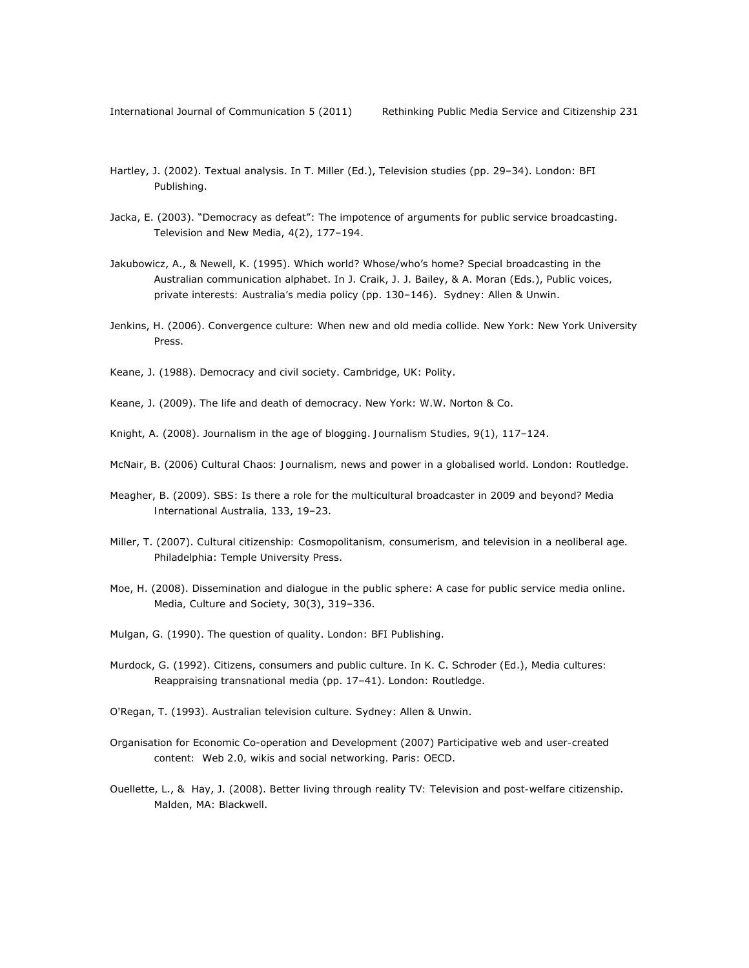- Hartley, J. (2002). Textual analysis. In T. Miller (Ed.), *Television studies* (pp. 29–34). London: BFI Publishing.
- Jacka, E. (2003). "Democracy as defeat": The impotence of arguments for public service broadcasting. *Television and New Media*, *4*(2), 177–194.
- Jakubowicz, A., & Newell, K. (1995). Which world? Whose/who's home? Special broadcasting in the Australian communication alphabet. In J. Craik, J. J. Bailey, & A. Moran (Eds.), *Public voices, private interests: Australia's media policy* (pp. 130–146). Sydney: Allen & Unwin.
- Jenkins, H. (2006). *Convergence culture: When new and old media collide*. New York: New York University Press.
- Keane, J. (1988). *Democracy and civil society*. Cambridge, UK: Polity.
- Keane, J. (2009). *The life and death of democracy*. New York: W.W. Norton & Co.
- Knight, A. (2008). Journalism in the age of blogging. *Journalism Studies, 9*(1), 117–124.
- McNair, B. (2006) *Cultural Chaos: Journalism, news and power in a globalised world*. London: Routledge.
- Meagher, B. (2009). SBS: Is there a role for the multicultural broadcaster in 2009 and beyond? *Media International Australia, 133*, 19–23.
- Miller, T. (2007). *Cultural citizenship: Cosmopolitanism, consumerism, and television in a neoliberal age*. Philadelphia: Temple University Press.
- Moe, H. (2008). Dissemination and dialogue in the public sphere: A case for public service media online. *Media, Culture and Society, 30*(3), 319–336.
- Mulgan, G. (1990). *The question of quality*. London: BFI Publishing.
- Murdock, G. (1992). Citizens, consumers and public culture. In K. C. Schroder (Ed.), *Media cultures: Reappraising transnational media* (pp. 17–41). London: Routledge.
- O'Regan, T. (1993). *Australian television culture*. Sydney: Allen & Unwin.
- Organisation for Economic Co-operation and Development (2007) *Participative web and user-created content: Web 2.0, wikis and social networking.* Paris: OECD.
- Ouellette, L., & Hay, J. (2008). *Better living through reality TV: Television and post-welfare citizenship*. Malden, MA: Blackwell.